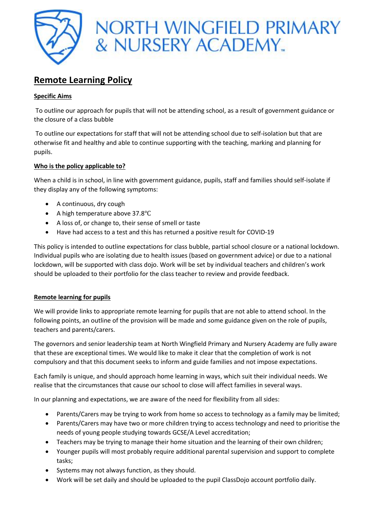

# **Remote Learning Policy**

### **Specific Aims**

To outline our approach for pupils that will not be attending school, as a result of government guidance or the closure of a class bubble

To outline our expectations for staff that will not be attending school due to self-isolation but that are otherwise fit and healthy and able to continue supporting with the teaching, marking and planning for pupils.

## **Who is the policy applicable to?**

When a child is in school, in line with government guidance, pupils, staff and families should self-isolate if they display any of the following symptoms:

- A continuous, dry cough
- A high temperature above 37.8℃
- A loss of, or change to, their sense of smell or taste
- Have had access to a test and this has returned a positive result for COVID-19

This policy is intended to outline expectations for class bubble, partial school closure or a national lockdown. Individual pupils who are isolating due to health issues (based on government advice) or due to a national lockdown, will be supported with class dojo. Work will be set by individual teachers and children's work should be uploaded to their portfolio for the class teacher to review and provide feedback.

#### **Remote learning for pupils**

We will provide links to appropriate remote learning for pupils that are not able to attend school. In the following points, an outline of the provision will be made and some guidance given on the role of pupils, teachers and parents/carers.

The governors and senior leadership team at North Wingfield Primary and Nursery Academy are fully aware that these are exceptional times. We would like to make it clear that the completion of work is not compulsory and that this document seeks to inform and guide families and not impose expectations.

Each family is unique, and should approach home learning in ways, which suit their individual needs. We realise that the circumstances that cause our school to close will affect families in several ways.

In our planning and expectations, we are aware of the need for flexibility from all sides:

- Parents/Carers may be trying to work from home so access to technology as a family may be limited;
- Parents/Carers may have two or more children trying to access technology and need to prioritise the needs of young people studying towards GCSE/A Level accreditation;
- Teachers may be trying to manage their home situation and the learning of their own children;
- Younger pupils will most probably require additional parental supervision and support to complete tasks;
- Systems may not always function, as they should.
- Work will be set daily and should be uploaded to the pupil ClassDojo account portfolio daily.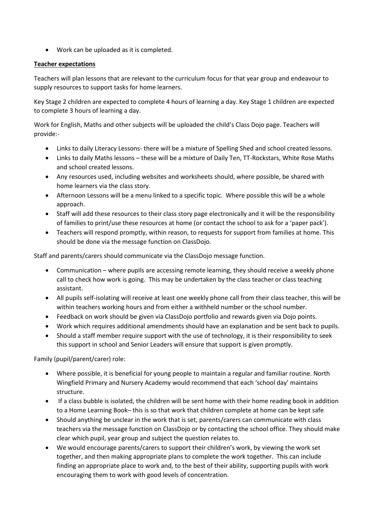Work can be uploaded as it is completed.

### **Teacher expectations**

Teachers will plan lessons that are relevant to the curriculum focus for that year group and endeavour to supply resources to support tasks for home learners.

Key Stage 2 children are expected to complete 4 hours of learning a day. Key Stage 1 children are expected to complete 3 hours of learning a day.

Work for English, Maths and other subjects will be uploaded the child's Class Dojo page. Teachers will provide:-

- Links to daily Literacy Lessons- there will be a mixture of Spelling Shed and school created lessons.
- Links to daily Maths lessons these will be a mixture of Daily Ten, TT-Rockstars, White Rose Maths and school created lessons.
- Any resources used, including websites and worksheets should, where possible, be shared with home learners via the class story.
- Afternoon Lessons will be a menu linked to a specific topic. Where possible this will be a whole approach.
- Staff will add these resources to their class story page electronically and it will be the responsibility of families to print/use these resources at home (or contact the school to ask for a 'paper pack').
- Teachers will respond promptly, within reason, to requests for support from families at home. This should be done via the message function on ClassDojo.

Staff and parents/carers should communicate via the ClassDojo message function.

- Communication where pupils are accessing remote learning, they should receive a weekly phone call to check how work is going. This may be undertaken by the class teacher or class teaching assistant.
- All pupils self-isolating will receive at least one weekly phone call from their class teacher, this will be within teachers working hours and from either a withheld number or the school number.
- Feedback on work should be given via ClassDojo portfolio and rewards given via Dojo points.
- Work which requires additional amendments should have an explanation and be sent back to pupils.
- Should a staff member require support with the use of technology, it is their responsibility to seek this support in school and Senior Leaders will ensure that support is given promptly.

Family (pupil/parent/carer) role:

- Where possible, it is beneficial for young people to maintain a regular and familiar routine. North Wingfield Primary and Nursery Academy would recommend that each 'school day' maintains structure.
- If a class bubble is isolated, the children will be sent home with their home reading book in addition to a Home Learning Book– this is so that work that children complete at home can be kept safe
- Should anything be unclear in the work that is set, parents/carers can communicate with class teachers via the message function on ClassDojo or by contacting the school office. They should make clear which pupil, year group and subject the question relates to.
- We would encourage parents/carers to support their children's work, by viewing the work set together, and then making appropriate plans to complete the work together. This can include finding an appropriate place to work and, to the best of their ability, supporting pupils with work encouraging them to work with good levels of concentration.